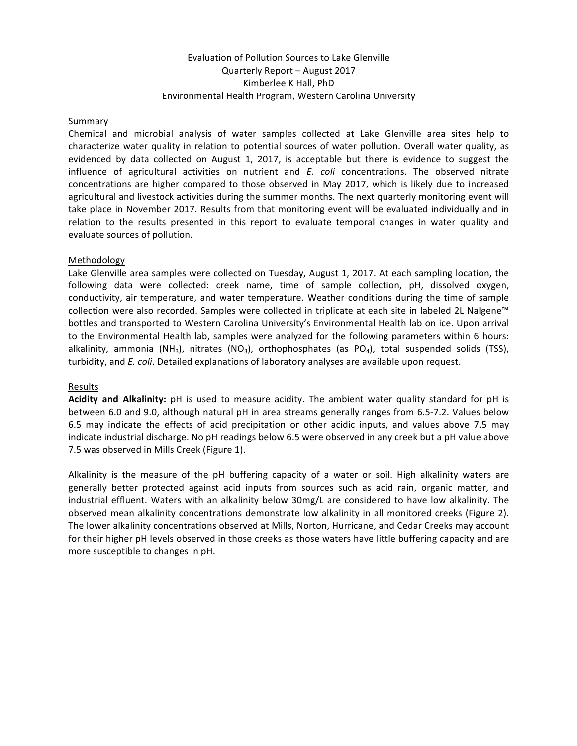# Evaluation of Pollution Sources to Lake Glenville Quarterly Report - August 2017 Kimberlee K Hall, PhD Environmental Health Program, Western Carolina University

#### Summary

Chemical and microbial analysis of water samples collected at Lake Glenville area sites help to characterize water quality in relation to potential sources of water pollution. Overall water quality, as evidenced by data collected on August 1, 2017, is acceptable but there is evidence to suggest the influence of agricultural activities on nutrient and *E. coli* concentrations. The observed nitrate concentrations are higher compared to those observed in May 2017, which is likely due to increased agricultural and livestock activities during the summer months. The next quarterly monitoring event will take place in November 2017. Results from that monitoring event will be evaluated individually and in relation to the results presented in this report to evaluate temporal changes in water quality and evaluate sources of pollution.

#### Methodology

Lake Glenville area samples were collected on Tuesday, August 1, 2017. At each sampling location, the following data were collected: creek name, time of sample collection, pH, dissolved oxygen, conductivity, air temperature, and water temperature. Weather conditions during the time of sample collection were also recorded. Samples were collected in triplicate at each site in labeled 2L Nalgene™ bottles and transported to Western Carolina University's Environmental Health lab on ice. Upon arrival to the Environmental Health lab, samples were analyzed for the following parameters within 6 hours: alkalinity, ammonia (NH<sub>3</sub>), nitrates (NO<sub>3</sub>), orthophosphates (as PO<sub>4</sub>), total suspended solids (TSS), turbidity, and *E. coli*. Detailed explanations of laboratory analyses are available upon request.

#### Results

Acidity and Alkalinity: pH is used to measure acidity. The ambient water quality standard for pH is between 6.0 and 9.0, although natural pH in area streams generally ranges from 6.5-7.2. Values below 6.5 may indicate the effects of acid precipitation or other acidic inputs, and values above 7.5 may indicate industrial discharge. No pH readings below 6.5 were observed in any creek but a pH value above 7.5 was observed in Mills Creek (Figure 1).

Alkalinity is the measure of the  $pH$  buffering capacity of a water or soil. High alkalinity waters are generally better protected against acid inputs from sources such as acid rain, organic matter, and industrial effluent. Waters with an alkalinity below 30mg/L are considered to have low alkalinity. The observed mean alkalinity concentrations demonstrate low alkalinity in all monitored creeks (Figure 2). The lower alkalinity concentrations observed at Mills, Norton, Hurricane, and Cedar Creeks may account for their higher pH levels observed in those creeks as those waters have little buffering capacity and are more susceptible to changes in pH.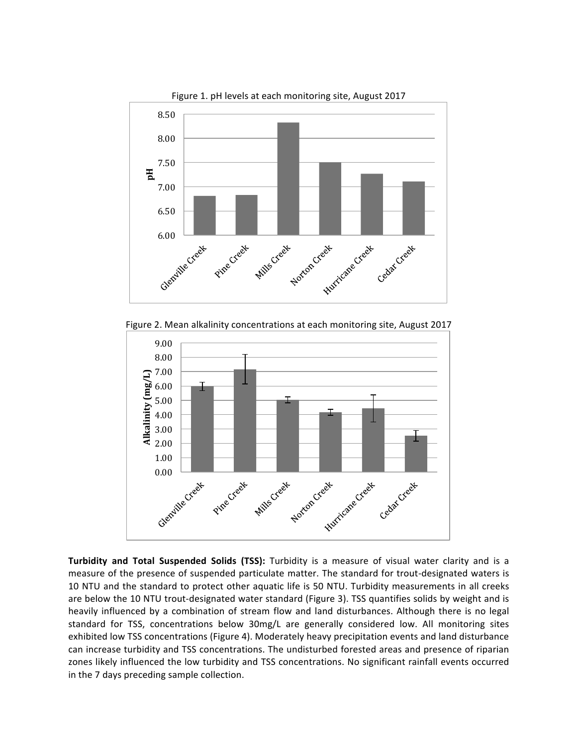

Figure 1. pH levels at each monitoring site, August 2017





**Turbidity and Total Suspended Solids (TSS):** Turbidity is a measure of visual water clarity and is a measure of the presence of suspended particulate matter. The standard for trout-designated waters is 10 NTU and the standard to protect other aquatic life is 50 NTU. Turbidity measurements in all creeks are below the 10 NTU trout-designated water standard (Figure 3). TSS quantifies solids by weight and is heavily influenced by a combination of stream flow and land disturbances. Although there is no legal standard for TSS, concentrations below 30mg/L are generally considered low. All monitoring sites exhibited low TSS concentrations (Figure 4). Moderately heavy precipitation events and land disturbance can increase turbidity and TSS concentrations. The undisturbed forested areas and presence of riparian zones likely influenced the low turbidity and TSS concentrations. No significant rainfall events occurred in the 7 days preceding sample collection.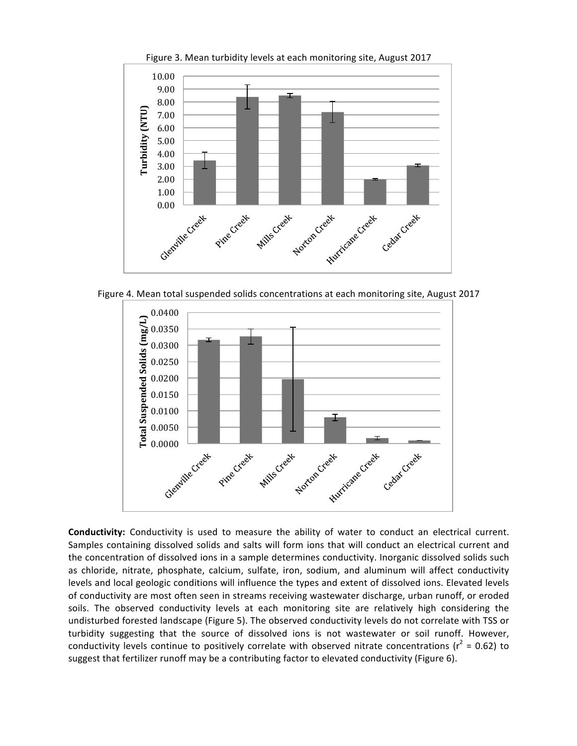

Figure 3. Mean turbidity levels at each monitoring site, August 2017

Figure 4. Mean total suspended solids concentrations at each monitoring site, August 2017



**Conductivity:** Conductivity is used to measure the ability of water to conduct an electrical current. Samples containing dissolved solids and salts will form ions that will conduct an electrical current and the concentration of dissolved ions in a sample determines conductivity. Inorganic dissolved solids such as chloride, nitrate, phosphate, calcium, sulfate, iron, sodium, and aluminum will affect conductivity levels and local geologic conditions will influence the types and extent of dissolved ions. Elevated levels of conductivity are most often seen in streams receiving wastewater discharge, urban runoff, or eroded soils. The observed conductivity levels at each monitoring site are relatively high considering the undisturbed forested landscape (Figure 5). The observed conductivity levels do not correlate with TSS or turbidity suggesting that the source of dissolved ions is not wastewater or soil runoff. However, conductivity levels continue to positively correlate with observed nitrate concentrations ( $r^2$  = 0.62) to suggest that fertilizer runoff may be a contributing factor to elevated conductivity (Figure 6).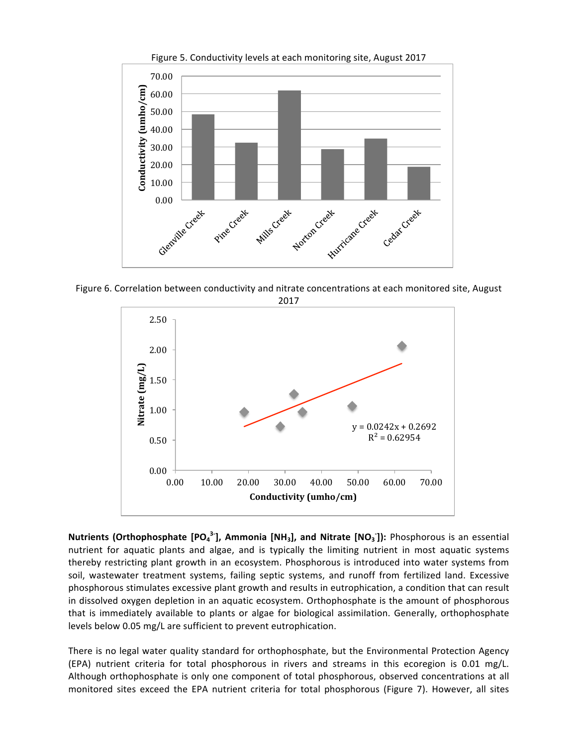

Figure 5. Conductivity levels at each monitoring site, August 2017

Figure 6. Correlation between conductivity and nitrate concentrations at each monitored site, August



**Nutrients (Orthophosphate [PO<sub>4</sub><sup>3-</sup>], Ammonia [NH<sub>3</sub>], and Nitrate [NO<sub>3</sub>]): Phosphorous is an essential** nutrient for aquatic plants and algae, and is typically the limiting nutrient in most aquatic systems thereby restricting plant growth in an ecosystem. Phosphorous is introduced into water systems from soil, wastewater treatment systems, failing septic systems, and runoff from fertilized land. Excessive phosphorous stimulates excessive plant growth and results in eutrophication, a condition that can result in dissolved oxygen depletion in an aquatic ecosystem. Orthophosphate is the amount of phosphorous that is immediately available to plants or algae for biological assimilation. Generally, orthophosphate levels below 0.05 mg/L are sufficient to prevent eutrophication.

There is no legal water quality standard for orthophosphate, but the Environmental Protection Agency (EPA) nutrient criteria for total phosphorous in rivers and streams in this ecoregion is 0.01 mg/L. Although orthophosphate is only one component of total phosphorous, observed concentrations at all monitored sites exceed the EPA nutrient criteria for total phosphorous (Figure 7). However, all sites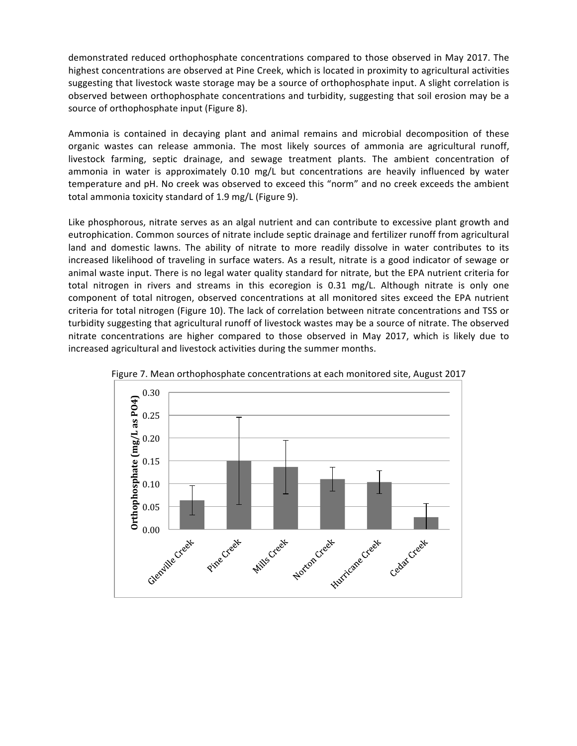demonstrated reduced orthophosphate concentrations compared to those observed in May 2017. The highest concentrations are observed at Pine Creek, which is located in proximity to agricultural activities suggesting that livestock waste storage may be a source of orthophosphate input. A slight correlation is observed between orthophosphate concentrations and turbidity, suggesting that soil erosion may be a source of orthophosphate input (Figure 8).

Ammonia is contained in decaying plant and animal remains and microbial decomposition of these organic wastes can release ammonia. The most likely sources of ammonia are agricultural runoff, livestock farming, septic drainage, and sewage treatment plants. The ambient concentration of ammonia in water is approximately  $0.10 \text{ mg/L}$  but concentrations are heavily influenced by water temperature and pH. No creek was observed to exceed this "norm" and no creek exceeds the ambient total ammonia toxicity standard of 1.9 mg/L (Figure 9).

Like phosphorous, nitrate serves as an algal nutrient and can contribute to excessive plant growth and eutrophication. Common sources of nitrate include septic drainage and fertilizer runoff from agricultural land and domestic lawns. The ability of nitrate to more readily dissolve in water contributes to its increased likelihood of traveling in surface waters. As a result, nitrate is a good indicator of sewage or animal waste input. There is no legal water quality standard for nitrate, but the EPA nutrient criteria for total nitrogen in rivers and streams in this ecoregion is 0.31 mg/L. Although nitrate is only one component of total nitrogen, observed concentrations at all monitored sites exceed the EPA nutrient criteria for total nitrogen (Figure 10). The lack of correlation between nitrate concentrations and TSS or turbidity suggesting that agricultural runoff of livestock wastes may be a source of nitrate. The observed nitrate concentrations are higher compared to those observed in May 2017, which is likely due to increased agricultural and livestock activities during the summer months.



Figure 7. Mean orthophosphate concentrations at each monitored site, August 2017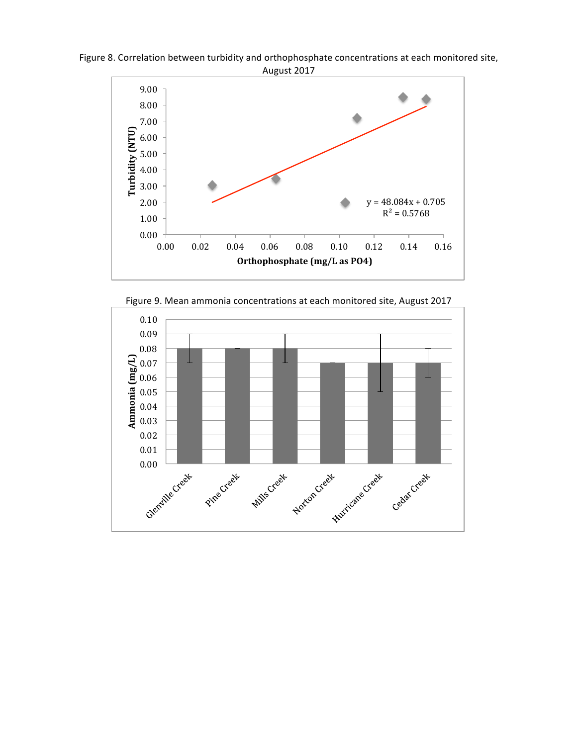

Figure 8. Correlation between turbidity and orthophosphate concentrations at each monitored site, August 2017

Figure 9. Mean ammonia concentrations at each monitored site, August 2017

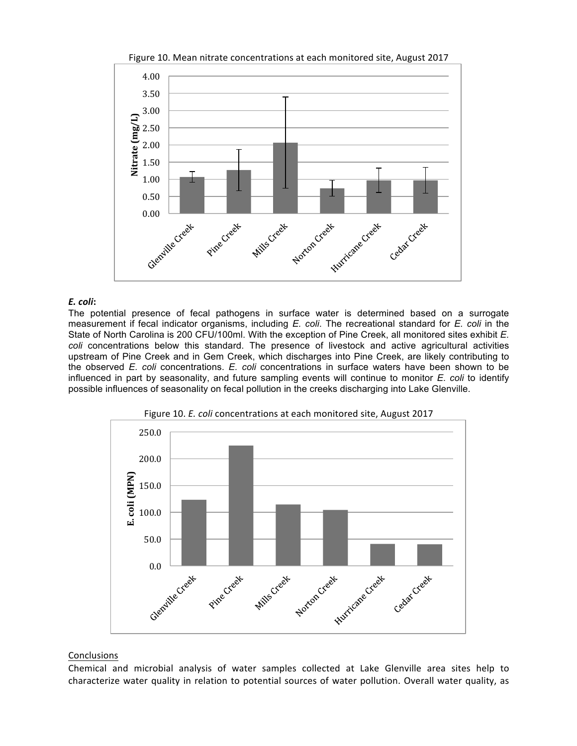

Figure 10. Mean nitrate concentrations at each monitored site, August 2017

### *E. coli***:**

The potential presence of fecal pathogens in surface water is determined based on a surrogate measurement if fecal indicator organisms, including *E. coli*. The recreational standard for *E. coli* in the State of North Carolina is 200 CFU/100ml. With the exception of Pine Creek, all monitored sites exhibit *E. coli* concentrations below this standard. The presence of livestock and active agricultural activities upstream of Pine Creek and in Gem Creek, which discharges into Pine Creek, are likely contributing to the observed *E. coli* concentrations. *E. coli* concentrations in surface waters have been shown to be influenced in part by seasonality, and future sampling events will continue to monitor *E. coli* to identify possible influences of seasonality on fecal pollution in the creeks discharging into Lake Glenville.





## **Conclusions**

Chemical and microbial analysis of water samples collected at Lake Glenville area sites help to characterize water quality in relation to potential sources of water pollution. Overall water quality, as